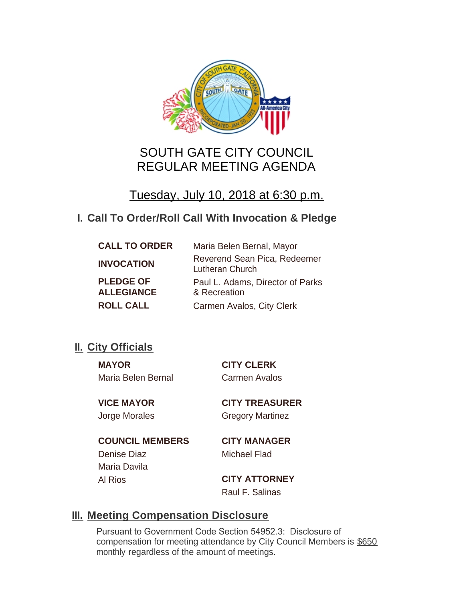

# SOUTH GATE CITY COUNCIL REGULAR MEETING AGENDA

Tuesday, July 10, 2018 at 6:30 p.m.

# **Call To Order/Roll Call With Invocation & Pledge I.**

| <b>CALL TO ORDER</b>                  | Maria Belen Bernal, Mayor                       |
|---------------------------------------|-------------------------------------------------|
| <b>INVOCATION</b>                     | Reverend Sean Pica, Redeemer<br>Lutheran Church |
| <b>PLEDGE OF</b><br><b>ALLEGIANCE</b> | Paul L. Adams, Director of Parks                |
|                                       | & Recreation                                    |
| <b>ROLL CALL</b>                      | Carmen Avalos, City Clerk                       |

## **II.** City Officials

**MAYOR CITY CLERK** Maria Belen Bernal Carmen Avalos

**VICE MAYOR CITY TREASURER** Jorge Morales Gregory Martinez

**COUNCIL MEMBERS CITY MANAGER** Denise Diaz Michael Flad Maria Davila

Al Rios **CITY ATTORNEY** Raul F. Salinas

## **Meeting Compensation Disclosure III.**

Pursuant to Government Code Section 54952.3: Disclosure of compensation for meeting attendance by City Council Members is \$650 monthly regardless of the amount of meetings.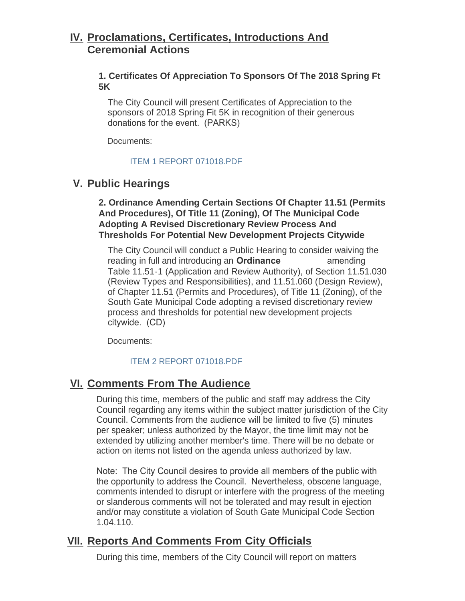## **Proclamations, Certificates, Introductions And IV. Ceremonial Actions**

## **1. Certificates Of Appreciation To Sponsors Of The 2018 Spring Ft 5K**

The City Council will present Certificates of Appreciation to the sponsors of 2018 Spring Fit 5K in recognition of their generous donations for the event. (PARKS)

Documents:

## [ITEM 1 REPORT 071018.PDF](http://cityofsouthgate.org/AgendaCenter/ViewFile/Item/6230?fileID=12637)

## **Public Hearings V.**

**2. Ordinance Amending Certain Sections Of Chapter 11.51 (Permits And Procedures), Of Title 11 (Zoning), Of The Municipal Code Adopting A Revised Discretionary Review Process And Thresholds For Potential New Development Projects Citywide**

The City Council will conduct a Public Hearing to consider waiving the reading in full and introducing an **Ordinance** amending Table 11.51-1 (Application and Review Authority), of Section 11.51.030 (Review Types and Responsibilities), and 11.51.060 (Design Review), of Chapter 11.51 (Permits and Procedures), of Title 11 (Zoning), of the South Gate Municipal Code adopting a revised discretionary review process and thresholds for potential new development projects citywide. (CD)

Documents:

## [ITEM 2 REPORT 071018.PDF](http://cityofsouthgate.org/AgendaCenter/ViewFile/Item/6220?fileID=12629)

## **<u>VI. Comments From The Audience</u>**

During this time, members of the public and staff may address the City Council regarding any items within the subject matter jurisdiction of the City Council. Comments from the audience will be limited to five (5) minutes per speaker; unless authorized by the Mayor, the time limit may not be extended by utilizing another member's time. There will be no debate or action on items not listed on the agenda unless authorized by law.

Note: The City Council desires to provide all members of the public with the opportunity to address the Council. Nevertheless, obscene language, comments intended to disrupt or interfere with the progress of the meeting or slanderous comments will not be tolerated and may result in ejection and/or may constitute a violation of South Gate Municipal Code Section 1.04.110.

## **<u>VII. Reports And Comments From City Officials</u>**

During this time, members of the City Council will report on matters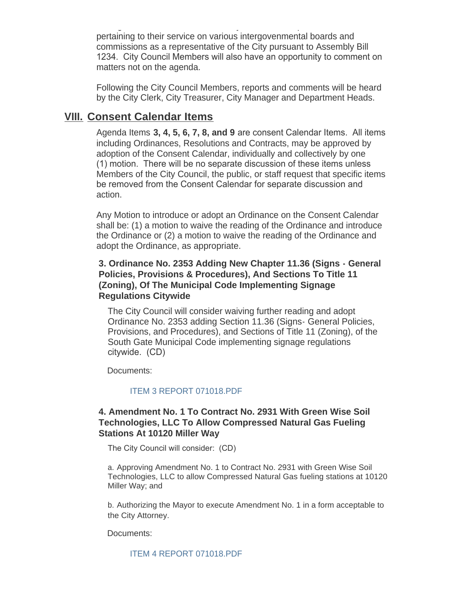During this time, members of the City Council will report on matters pertaining to their service on various intergovenmental boards and commissions as a representative of the City pursuant to Assembly Bill 1234. City Council Members will also have an opportunity to comment on matters not on the agenda.

Following the City Council Members, reports and comments will be heard by the City Clerk, City Treasurer, City Manager and Department Heads.

## **Consent Calendar Items VIII.**

Agenda Items **3, 4, 5, 6, 7, 8, and 9** are consent Calendar Items. All items including Ordinances, Resolutions and Contracts, may be approved by adoption of the Consent Calendar, individually and collectively by one (1) motion. There will be no separate discussion of these items unless Members of the City Council, the public, or staff request that specific items be removed from the Consent Calendar for separate discussion and action.

Any Motion to introduce or adopt an Ordinance on the Consent Calendar shall be: (1) a motion to waive the reading of the Ordinance and introduce the Ordinance or (2) a motion to waive the reading of the Ordinance and adopt the Ordinance, as appropriate.

### **3. Ordinance No. 2353 Adding New Chapter 11.36 (Signs - General Policies, Provisions & Procedures), And Sections To Title 11 (Zoning), Of The Municipal Code Implementing Signage Regulations Citywide**

The City Council will consider waiving further reading and adopt Ordinance No. 2353 adding Section 11.36 (Signs- General Policies, Provisions, and Procedures), and Sections of Title 11 (Zoning), of the South Gate Municipal Code implementing signage regulations citywide. (CD)

Documents:

### [ITEM 3 REPORT 071018.PDF](http://cityofsouthgate.org/AgendaCenter/ViewFile/Item/6221?fileID=12630)

### **4. Amendment No. 1 To Contract No. 2931 With Green Wise Soil Technologies, LLC To Allow Compressed Natural Gas Fueling Stations At 10120 Miller Way**

The City Council will consider: (CD)

a. Approving Amendment No. 1 to Contract No. 2931 with Green Wise Soil Technologies, LLC to allow Compressed Natural Gas fueling stations at 10120 Miller Way; and

b. Authorizing the Mayor to execute Amendment No. 1 in a form acceptable to the City Attorney.

Documents:

[ITEM 4 REPORT 071018.PDF](http://cityofsouthgate.org/AgendaCenter/ViewFile/Item/6222?fileID=12631)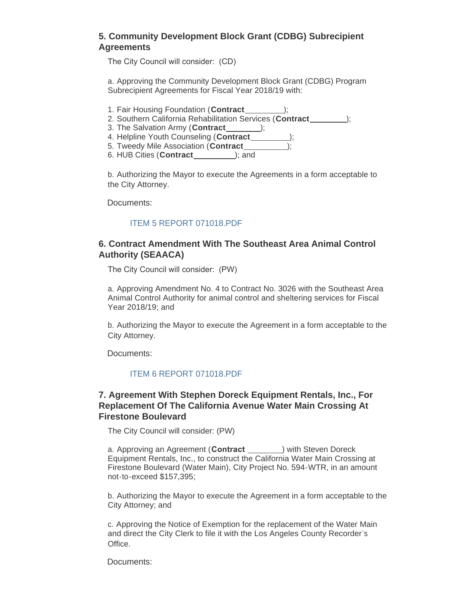### **5. Community Development Block Grant (CDBG) Subrecipient Agreements**

The City Council will consider: (CD)

a. Approving the Community Development Block Grant (CDBG) Program Subrecipient Agreements for Fiscal Year 2018/19 with:

- 1. Fair Housing Foundation (**Contract** );
- 2. Southern California Rehabilitation Services (**Contract** );
- 3. The Salvation Army (**Contract** );
- 4. Helpline Youth Counseling (**Contract** );
- 5. Tweedy Mile Association (**Contract** );
- 6. HUB Cities (**Contract** ); and

b. Authorizing the Mayor to execute the Agreements in a form acceptable to the City Attorney.

Documents:

#### [ITEM 5 REPORT 071018.PDF](http://cityofsouthgate.org/AgendaCenter/ViewFile/Item/6231?fileID=12638)

#### **6. Contract Amendment With The Southeast Area Animal Control Authority (SEAACA)**

The City Council will consider: (PW)

a. Approving Amendment No. 4 to Contract No. 3026 with the Southeast Area Animal Control Authority for animal control and sheltering services for Fiscal Year 2018/19; and

b. Authorizing the Mayor to execute the Agreement in a form acceptable to the City Attorney.

Documents:

#### [ITEM 6 REPORT 071018.PDF](http://cityofsouthgate.org/AgendaCenter/ViewFile/Item/6232?fileID=12639)

#### **7. Agreement With Stephen Doreck Equipment Rentals, Inc., For Replacement Of The California Avenue Water Main Crossing At Firestone Boulevard**

The City Council will consider: (PW)

a. Approving an Agreement (**Contract** 1000) with Steven Doreck Equipment Rentals, Inc., to construct the California Water Main Crossing at Firestone Boulevard (Water Main), City Project No. 594-WTR, in an amount not-to-exceed \$157,395;

b. Authorizing the Mayor to execute the Agreement in a form acceptable to the City Attorney; and

c. Approving the Notice of Exemption for the replacement of the Water Main and direct the City Clerk to file it with the Los Angeles County Recorder's Office.

Documents: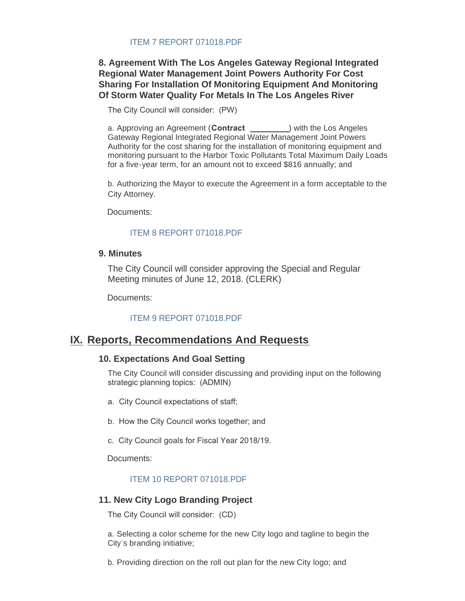#### [ITEM 7 REPORT 071018.PDF](http://cityofsouthgate.org/AgendaCenter/ViewFile/Item/6223?fileID=12632)

### **8. Agreement With The Los Angeles Gateway Regional Integrated Regional Water Management Joint Powers Authority For Cost Sharing For Installation Of Monitoring Equipment And Monitoring Of Storm Water Quality For Metals In The Los Angeles River**

The City Council will consider: (PW)

a. Approving an Agreement (**Contract** \_\_\_\_\_\_\_\_\_) with the Los Angeles Gateway Regional Integrated Regional Water Management Joint Powers Authority for the cost sharing for the installation of monitoring equipment and monitoring pursuant to the Harbor Toxic Pollutants Total Maximum Daily Loads for a five-year term, for an amount not to exceed \$816 annually; and

b. Authorizing the Mayor to execute the Agreement in a form acceptable to the City Attorney.

Documents:

#### [ITEM 8 REPORT 071018.PDF](http://cityofsouthgate.org/AgendaCenter/ViewFile/Item/6224?fileID=12633)

#### **9. Minutes**

The City Council will consider approving the Special and Regular Meeting minutes of June 12, 2018. (CLERK)

Documents:

#### [ITEM 9 REPORT 071018.PDF](http://cityofsouthgate.org/AgendaCenter/ViewFile/Item/6225?fileID=12634)

## **IX. Reports, Recommendations And Requests**

#### **10. Expectations And Goal Setting**

The City Council will consider discussing and providing input on the following strategic planning topics: (ADMIN)

- a. City Council expectations of staff;
- b. How the City Council works together; and
- c. City Council goals for Fiscal Year 2018/19.

Documents:

#### [ITEM 10 REPORT 071018.PDF](http://cityofsouthgate.org/AgendaCenter/ViewFile/Item/6226?fileID=12635)

#### **11. New City Logo Branding Project**

The City Council will consider: (CD)

a. Selecting a color scheme for the new City logo and tagline to begin the City's branding initiative;

b. Providing direction on the roll out plan for the new City logo; and